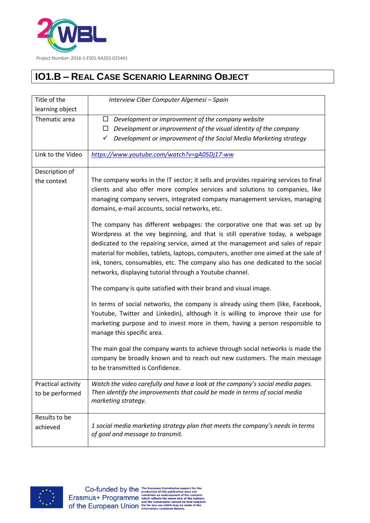

## **IO1.B – REAL CASE SCENARIO LEARNING OBJECT**

| Title of the                          | Interview Ciber Computer Algemesi - Spain                                                                                                                                                                                                                                                                                                                                                                                                                                           |
|---------------------------------------|-------------------------------------------------------------------------------------------------------------------------------------------------------------------------------------------------------------------------------------------------------------------------------------------------------------------------------------------------------------------------------------------------------------------------------------------------------------------------------------|
| learning object                       |                                                                                                                                                                                                                                                                                                                                                                                                                                                                                     |
| Thematic area                         | Development or improvement of the company website<br>$\Box$                                                                                                                                                                                                                                                                                                                                                                                                                         |
|                                       | Development or improvement of the visual identity of the company<br>$\Box$                                                                                                                                                                                                                                                                                                                                                                                                          |
|                                       | Development or improvement of the Social Media Marketing strategy<br>✓                                                                                                                                                                                                                                                                                                                                                                                                              |
| Link to the Video                     | https://www.youtube.com/watch?v=qA05Dj17-ww                                                                                                                                                                                                                                                                                                                                                                                                                                         |
| Description of                        |                                                                                                                                                                                                                                                                                                                                                                                                                                                                                     |
| the context                           | The company works in the IT sector; it sells and provides repairing services to final<br>clients and also offer more complex services and solutions to companies, like<br>managing company servers, integrated company management services, managing<br>domains, e-mail accounts, social networks, etc.                                                                                                                                                                             |
|                                       | The company has different webpages: the corporative one that was set up by<br>Wordpress at the vey beginning, and that is still operative today, a webpage<br>dedicated to the repairing service, aimed at the management and sales of repair<br>material for mobiles, tablets, laptops, computers, another one aimed at the sale of<br>ink, toners, consumables, etc. The company also has one dedicated to the social<br>networks, displaying tutorial through a Youtube channel. |
|                                       | The company is quite satisfied with their brand and visual image.                                                                                                                                                                                                                                                                                                                                                                                                                   |
|                                       | In terms of social networks, the company is already using them (like, Facebook,<br>Youtube, Twitter and Linkedin), although it is willing to improve their use for<br>marketing purpose and to invest more in them, having a person responsible to<br>manage this specific area.                                                                                                                                                                                                    |
|                                       | The main goal the company wants to achieve through social networks is made the<br>company be broadly known and to reach out new customers. The main message<br>to be transmitted is Confidence.                                                                                                                                                                                                                                                                                     |
| Practical activity<br>to be performed | Watch the video carefully and have a look at the company's social media pages.<br>Then identify the improvements that could be made in terms of social media<br>marketing strategy.                                                                                                                                                                                                                                                                                                 |
| Results to be<br>achieved             | 1 social media marketing strategy plan that meets the company's needs in terms<br>of goal and message to transmit.                                                                                                                                                                                                                                                                                                                                                                  |